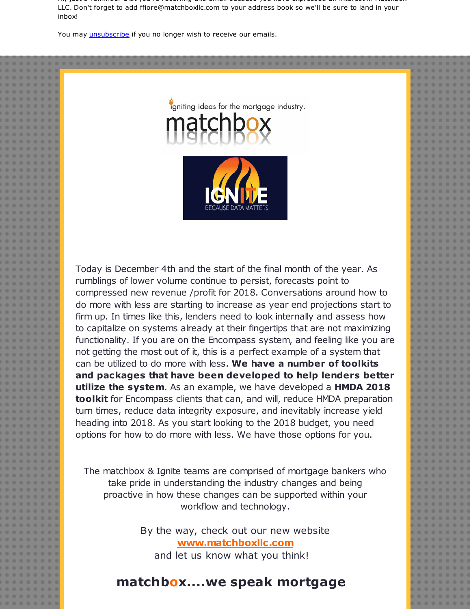Hi, just a reminder that you're receiving this email because you have expressed an interest in Matchbox LLC. Don't forget to add ffiore@matchboxllc.com to your address book so we'll be sure to land in your inbox!

You may *[unsubscribe](https://visitor.constantcontact.com/do?p=un&m=001B1MbCl1BZX5WT93PZZ-ZrQ%3D%3D&ch=&ca=50d86b63-0806-4231-a490-7dca5210c80c)* if you no longer wish to receive our emails.





Today is December 4th and the start of the final month of the year. As rumblings of lower volume continue to persist, forecasts point to compressed new revenue /profit for 2018. Conversations around how to do more with less are starting to increase as year end projections start to firm up. In times like this, lenders need to look internally and assess how to capitalize on systems already at their fingertips that are not maximizing functionality. If you are on the Encompass system, and feeling like you are not getting the most out of it, this is a perfect example of a system that can be utilized to do more with less. **We have a number of toolkits and packages that have been developed to help lenders better utilize the system**. As an example, we have developed a **HMDA 2018 toolkit** for Encompass clients that can, and will, reduce HMDA preparation turn times, reduce data integrity exposure, and inevitably increase yield heading into 2018. As you start looking to the 2018 budget, you need options for how to do more with less. We have those options for you.

The matchbox & Ignite teams are comprised of mortgage bankers who take pride in understanding the industry changes and being proactive in how these changes can be supported within your workflow and technology.

> By the way, check out our new website **[www.matchboxllc.com](http://r20.rs6.net/tn.jsp?f=001WdumRj335AsRH7EPyQtttU3r7ihmaqdKY5CHti73E0u4MJNnnHUe2Ake-XmivDXLIZqM1z0poU83XdRurBgmD5oICZ89oqpdu3wTEPkJuh3U6PZiKU19oytmJRd6MxI-____nPVGtsRN5fDjto08sS_7Lf9ksZfqosYd0nAVHvKT-CMmXPa28dTLcQjVJp1a7Re90Uv0f1R_7ECCYoY-ZJABBztLt8XD4RSN_JgGr5o4nKhWdgeeNmJ-RBD0mAV3ag1W5fv4GX0oE852vl823Qj9cFZ2OEyGP32oHHFdpWl3UZ_5ZqD1XiyRaZo418hq7C7M7-HnKl_mQ_-y8geZ_m_R9wZpIP7U7XKZGWigvarTi6rhYRwWJnLS6eRnsFCBlAg5ISIc8gtSzeKOSz__MFC0BhzmpXHw&c=&ch=)** and let us know what you think!

## **matchbox....we speak mortgage**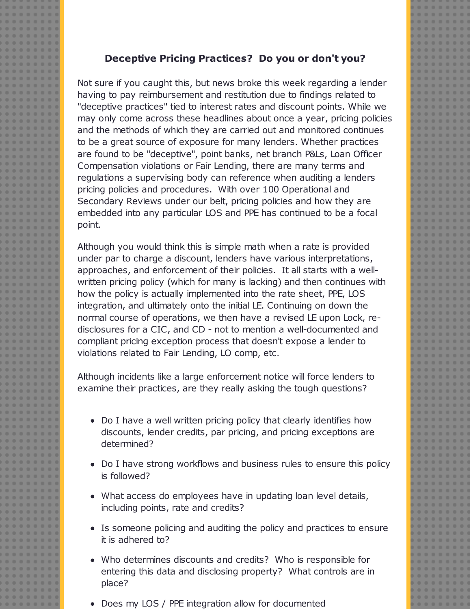## **Deceptive Pricing Practices? Do you or don't you?**

Not sure if you caught this, but news broke this week regarding a lender having to pay reimbursement and restitution due to findings related to "deceptive practices" tied to interest rates and discount points. While we may only come across these headlines about once a year, pricing policies and the methods of which they are carried out and monitored continues to be a great source of exposure for many lenders. Whether practices are found to be "deceptive", point banks, net branch P&Ls, Loan Officer Compensation violations or Fair Lending, there are many terms and regulations a supervising body can reference when auditing a lenders pricing policies and procedures. With over 100 Operational and Secondary Reviews under our belt, pricing policies and how they are embedded into any particular LOS and PPE has continued to be a focal point.

Although you would think this is simple math when a rate is provided under par to charge a discount, lenders have various interpretations, approaches, and enforcement of their policies. It all starts with a wellwritten pricing policy (which for many is lacking) and then continues with how the policy is actually implemented into the rate sheet, PPE, LOS integration, and ultimately onto the initial LE. Continuing on down the normal course of operations, we then have a revised LE upon Lock, redisclosures for a CIC, and CD - not to mention a well-documented and compliant pricing exception process that doesn't expose a lender to violations related to Fair Lending, LO comp, etc.

Although incidents like a large enforcement notice will force lenders to examine their practices, are they really asking the tough questions?

- Do I have a well written pricing policy that clearly identifies how discounts, lender credits, par pricing, and pricing exceptions are determined?
- Do I have strong workflows and business rules to ensure this policy is followed?
- What access do employees have in updating loan level details, including points, rate and credits?
- Is someone policing and auditing the policy and practices to ensure it is adhered to?
- Who determines discounts and credits? Who is responsible for entering this data and disclosing property? What controls are in place?
- Does my LOS / PPE integration allow for documented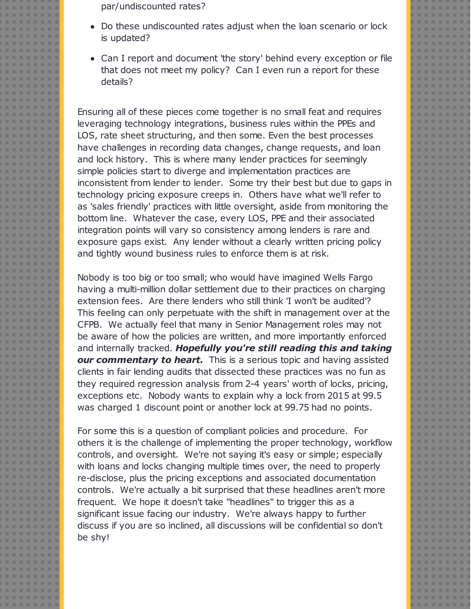par/undiscounted rates?

- Do these undiscounted rates adjust when the loan scenario or lock is updated?
- Can I report and document 'the story' behind every exception or file that does not meet my policy? Can I even run a report for these details?

Ensuring all of these pieces come together is no small feat and requires leveraging technology integrations, business rules within the PPEs and LOS, rate sheet structuring, and then some. Even the best processes have challenges in recording data changes, change requests, and loan and lock history. This is where many lender practices for seemingly simple policies start to diverge and implementation practices are inconsistent from lender to lender. Some try their best but due to gaps in technology pricing exposure creeps in. Others have what we'll refer to as 'sales friendly' practices with little oversight, aside from monitoring the bottom line. Whatever the case, every LOS, PPE and their associated integration points will vary so consistency among lenders is rare and exposure gaps exist. Any lender without a clearly written pricing policy and tightly wound business rules to enforce them is at risk.

Nobody is too big or too small; who would have imagined Wells Fargo having a multi-million dollar settlement due to their practices on charging extension fees. Are there lenders who still think 'I won't be audited'? This feeling can only perpetuate with the shift in management over at the CFPB. We actually feel that many in Senior Management roles may not be aware of how the policies are written, and more importantly enforced and internally tracked. *Hopefully you're still reading this and taking our commentary to heart.* This is a serious topic and having assisted clients in fair lending audits that dissected these practices was no fun as they required regression analysis from 2-4 years' worth of locks, pricing, exceptions etc. Nobody wants to explain why a lock from 2015 at 99.5 was charged 1 discount point or another lock at 99.75 had no points.

For some this is a question of compliant policies and procedure. For others it is the challenge of implementing the proper technology, workflow controls, and oversight. We're not saying it's easy or simple; especially with loans and locks changing multiple times over, the need to properly re-disclose, plus the pricing exceptions and associated documentation controls. We're actually a bit surprised that these headlines aren't more frequent. We hope it doesn't take "headlines" to trigger this as a significant issue facing our industry. We're always happy to further discuss if you are so inclined, all discussions will be confidential so don't be shy!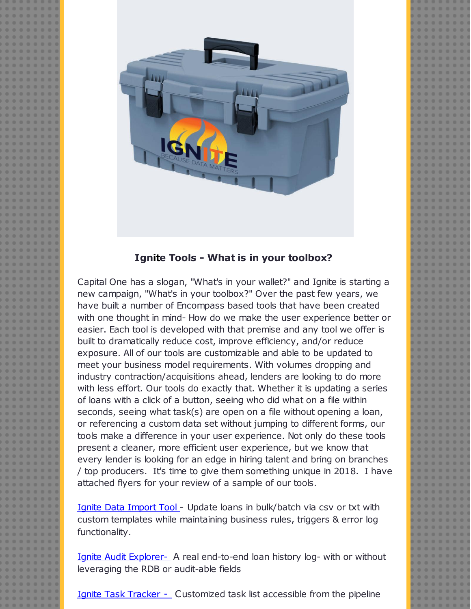

## **Ignite Tools - What is in your toolbox?**

Capital One has a slogan, "What's in your wallet?" and Ignite is starting a new campaign, "What's in your toolbox?" Over the past few years, we have built a number of Encompass based tools that have been created with one thought in mind- How do we make the user experience better or easier. Each tool is developed with that premise and any tool we offer is built to dramatically reduce cost, improve efficiency, and/or reduce exposure. All of our tools are customizable and able to be updated to meet your business model requirements. With volumes dropping and industry contraction/acquisitions ahead, lenders are looking to do more with less effort. Our tools do exactly that. Whether it is updating a series of loans with a click of a button, seeing who did what on a file within seconds, seeing what task(s) are open on a file without opening a loan, or referencing a custom data set without jumping to different forms, our tools make a difference in your user experience. Not only do these tools present a cleaner, more efficient user experience, but we know that every lender is looking for an edge in hiring talent and bring on branches / top producers. It's time to give them something unique in 2018. I have attached flyers for your review of a sample of our tools.

Ignite Data [Import](http://r20.rs6.net/tn.jsp?f=001WdumRj335AsRH7EPyQtttU3r7ihmaqdKY5CHti73E0u4MJNnnHUe2EObVOeycjZpp3Ns_0PalUaN4zwj9T9fkRwlbT8ZdAht5VGZyFDYs6bE87LlFvn1z9sO17qw2tPcrGlBsD4QIHOYIozzolT5nqP2oqd5VBhbIQxHZMgkKyL54ijEtJquQxiV_GPfzt-HX3yDcyo-EW0XKsA3bJKsvKxerKyMiuFOjNjUa3vQ2sFzUs9Dcx1XYQrU3csUswCK&c=&ch=) Tool - Update loans in bulk/batch via csv or txt with custom templates while maintaining business rules, triggers & error log functionality.

Ignite Audit [Explorer-](http://r20.rs6.net/tn.jsp?f=001WdumRj335AsRH7EPyQtttU3r7ihmaqdKY5CHti73E0u4MJNnnHUe2OALFj1OFbho9DfOu3Ds2dLxrfWZhXf1_V7CiZyfmaqjGNblBzPgVA-8RdkntFwYg_lb6FzVTEW_onXLdr1kMAEgb6GiVFg936qHG9qu5-yBZvcBoDYlDPLaDiAT53jGOjcUBhsAGHtato6eYpjMWRfC_zvfQPthgE3k4XVMZFTzPI1cQqSYRSuUhU1ni9KxZ2sfBoYUqIqB&c=&ch=) A real end-to-end loan history log- with or without leveraging the RDB or audit-able fields

Ignite Task [Tracker](http://r20.rs6.net/tn.jsp?f=001WdumRj335AsRH7EPyQtttU3r7ihmaqdKY5CHti73E0u4MJNnnHUe2OALFj1OFbhohP2kMphj3m47i5lcLz2e6D5lgPDrs8eKidLfimRPzUeVIaHifDH7Y_tS9WGZWqSy0lfxLungDKmh8LXNlzpxn806WNUlzwW7vM33QqRnVJIHrljad7bnESD9F8Jda7JDZMC1-bXlWL8-36XWZGdmbQR2QD1kyPy3Zeo_T_0Jyh-1J6Ce1Nu79c1pkVTXTQDV&c=&ch=) - Customized task list accessible from the pipeline